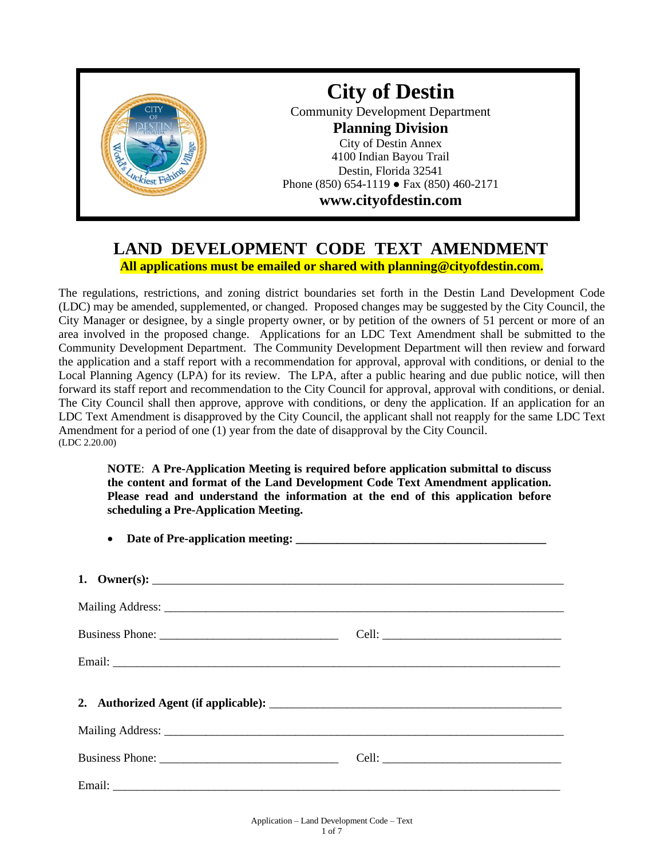

## **LAND DEVELOPMENT CODE TEXT AMENDMENT All applications must be emailed or shared with planning@cityofdestin.com.**

The regulations, restrictions, and zoning district boundaries set forth in the Destin Land Development Code (LDC) may be amended, supplemented, or changed. Proposed changes may be suggested by the City Council, the City Manager or designee, by a single property owner, or by petition of the owners of 51 percent or more of an area involved in the proposed change. Applications for an LDC Text Amendment shall be submitted to the Community Development Department. The Community Development Department will then review and forward the application and a staff report with a recommendation for approval, approval with conditions, or denial to the Local Planning Agency (LPA) for its review. The LPA, after a public hearing and due public notice, will then forward its staff report and recommendation to the City Council for approval, approval with conditions, or denial. The City Council shall then approve, approve with conditions, or deny the application. If an application for an LDC Text Amendment is disapproved by the City Council, the applicant shall not reapply for the same LDC Text Amendment for a period of one (1) year from the date of disapproval by the City Council. (LDC 2.20.00)

**NOTE**: **A Pre-Application Meeting is required before application submittal to discuss the content and format of the Land Development Code Text Amendment application. Please read and understand the information at the end of this application before scheduling a Pre-Application Meeting.**

| 1. Owner(s): $\qquad \qquad$ |  |
|------------------------------|--|
|                              |  |
|                              |  |
|                              |  |
|                              |  |
|                              |  |
|                              |  |
|                              |  |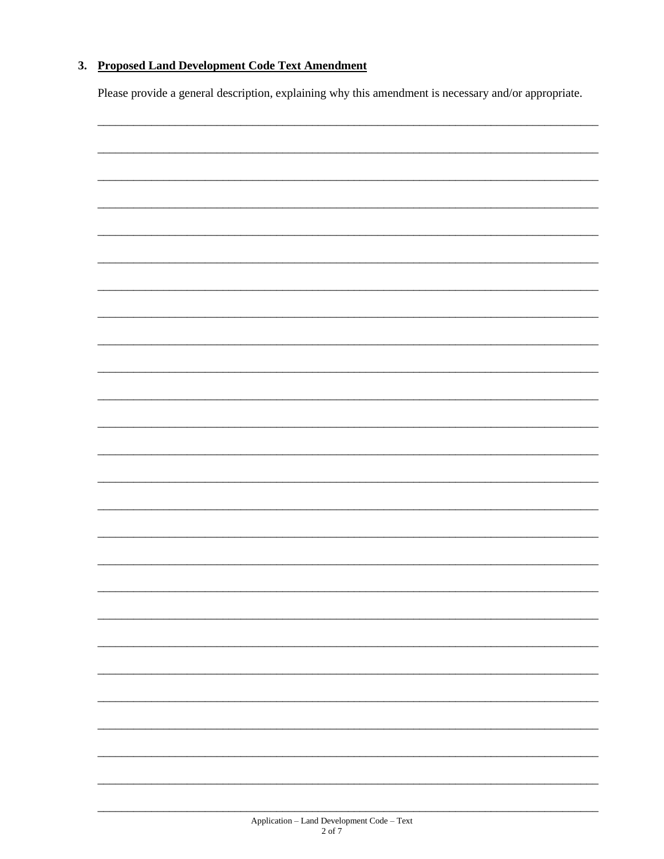## 3. Proposed Land Development Code Text Amendment

Please provide a general description, explaining why this amendment is necessary and/or appropriate.

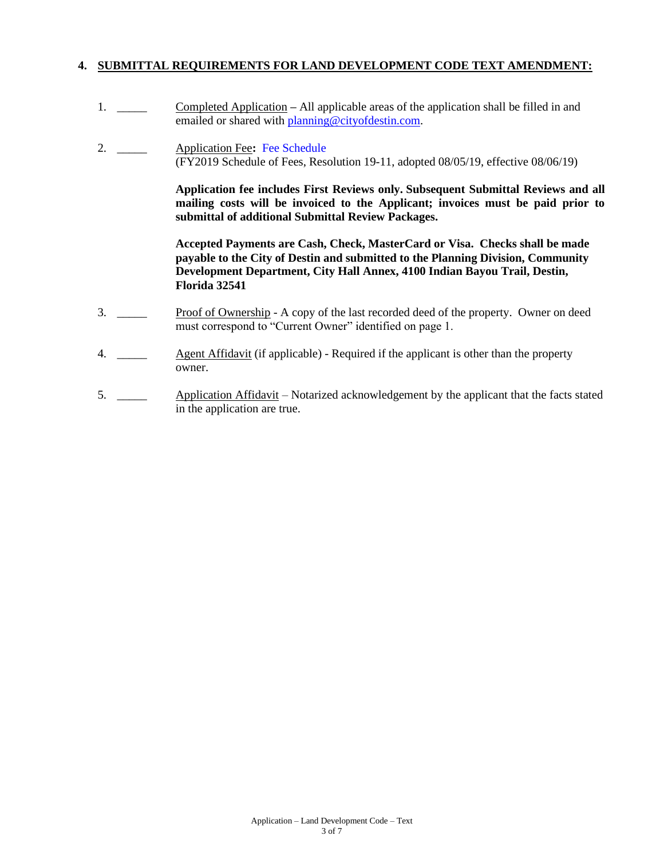### **4. SUBMITTAL REQUIREMENTS FOR LAND DEVELOPMENT CODE TEXT AMENDMENT:**

- 1. \_\_\_\_\_ Completed Application **–** All applicable areas of the application shall be filled in and emailed or shared with **planning@cityofdestin.com**.
- 2. \_\_\_\_\_ Application Fee**:** [Fee Schedule](https://www.cityofdestin.com/DocumentCenter/View/119/Planning-Fees-FY2019?bidId=) (FY2019 Schedule of Fees, Resolution 19-11, adopted 08/05/19, effective 08/06/19)

**Application fee includes First Reviews only. Subsequent Submittal Reviews and all mailing costs will be invoiced to the Applicant; invoices must be paid prior to submittal of additional Submittal Review Packages.**

**Accepted Payments are Cash, Check, MasterCard or Visa. Checks shall be made payable to the City of Destin and submitted to the Planning Division, Community Development Department, City Hall Annex, 4100 Indian Bayou Trail, Destin, Florida 32541**

- 3. \_\_\_\_\_ Proof of Ownership A copy of the last recorded deed of the property. Owner on deed must correspond to "Current Owner" identified on page 1.
- 4. \_\_\_\_\_ Agent Affidavit (if applicable) Required if the applicant is other than the property owner.
- 5. \_\_\_\_\_ Application Affidavit Notarized acknowledgement by the applicant that the facts stated in the application are true.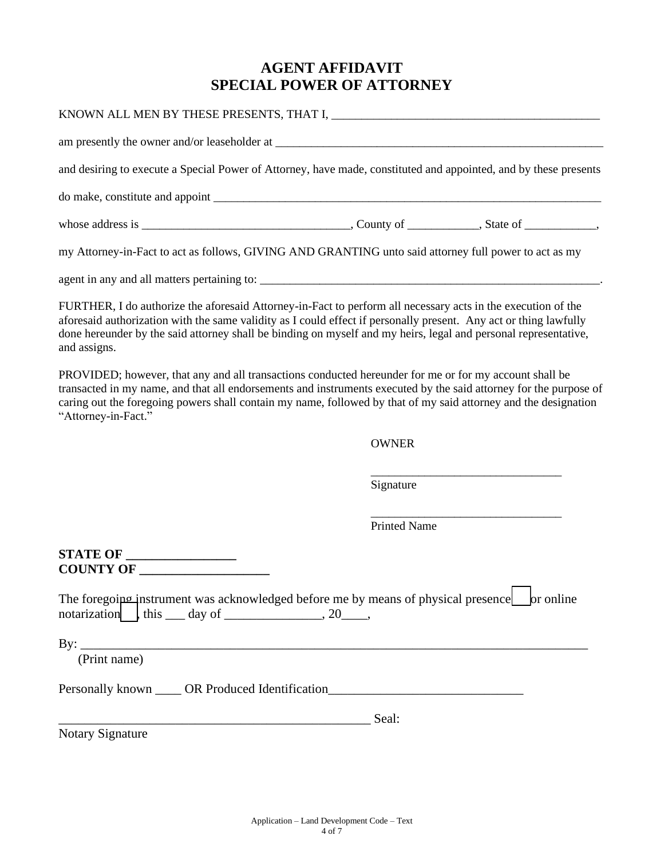# **AGENT AFFIDAVIT SPECIAL POWER OF ATTORNEY**

| and desiring to execute a Special Power of Attorney, have made, constituted and appointed, and by these presents                                                                                                                                                                                                                                                      |                     |  |
|-----------------------------------------------------------------------------------------------------------------------------------------------------------------------------------------------------------------------------------------------------------------------------------------------------------------------------------------------------------------------|---------------------|--|
|                                                                                                                                                                                                                                                                                                                                                                       |                     |  |
|                                                                                                                                                                                                                                                                                                                                                                       |                     |  |
| my Attorney-in-Fact to act as follows, GIVING AND GRANTING unto said attorney full power to act as my                                                                                                                                                                                                                                                                 |                     |  |
|                                                                                                                                                                                                                                                                                                                                                                       |                     |  |
| FURTHER, I do authorize the aforesaid Attorney-in-Fact to perform all necessary acts in the execution of the<br>aforesaid authorization with the same validity as I could effect if personally present. Any act or thing lawfully<br>done hereunder by the said attorney shall be binding on myself and my heirs, legal and personal representative,<br>and assigns.  |                     |  |
| PROVIDED; however, that any and all transactions conducted hereunder for me or for my account shall be<br>transacted in my name, and that all endorsements and instruments executed by the said attorney for the purpose of<br>caring out the foregoing powers shall contain my name, followed by that of my said attorney and the designation<br>"Attorney-in-Fact." |                     |  |
|                                                                                                                                                                                                                                                                                                                                                                       | <b>OWNER</b>        |  |
|                                                                                                                                                                                                                                                                                                                                                                       | Signature           |  |
|                                                                                                                                                                                                                                                                                                                                                                       | <b>Printed Name</b> |  |
| <b>STATE OF _________________</b><br>COUNTY OF                                                                                                                                                                                                                                                                                                                        |                     |  |
| The foregoing instrument was acknowledged before me by means of physical presence or online<br>notarization $\int$ , this ____ day of __________________, 20_____,                                                                                                                                                                                                    |                     |  |
| By: $\overline{\phantom{a}}$<br>(Print name)                                                                                                                                                                                                                                                                                                                          |                     |  |
| Personally known _____ OR Produced Identification_______________________________                                                                                                                                                                                                                                                                                      |                     |  |
| <u> 1989 - Jan James James, politik eta idazleari (h. 1989).</u>                                                                                                                                                                                                                                                                                                      | Seal:               |  |
| Notary Signature                                                                                                                                                                                                                                                                                                                                                      |                     |  |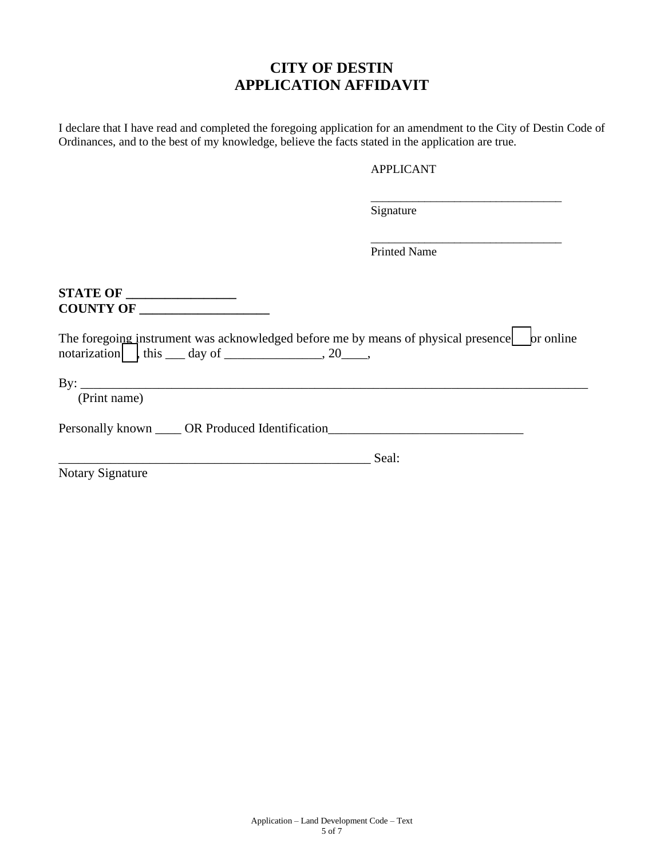# **CITY OF DESTIN APPLICATION AFFIDAVIT**

I declare that I have read and completed the foregoing application for an amendment to the City of Destin Code of Ordinances, and to the best of my knowledge, believe the facts stated in the application are true.

### APPLICANT

\_\_\_\_\_\_\_\_\_\_\_\_\_\_\_\_\_\_\_\_\_\_\_\_\_\_\_\_\_\_\_\_

\_\_\_\_\_\_\_\_\_\_\_\_\_\_\_\_\_\_\_\_\_\_\_\_\_\_\_\_\_\_\_\_

Signature

Printed Name

**STATE OF \_\_\_\_\_\_\_\_\_\_\_\_\_\_\_\_\_ COUNTY OF \_\_\_\_\_\_\_\_\_\_\_\_\_\_\_\_\_\_\_\_**

|                                                          |  | The foregoing instrument was acknowledged before me by means of physical presence   br online |  |  |
|----------------------------------------------------------|--|-----------------------------------------------------------------------------------------------|--|--|
| notarization $\vert \cdot \vert$ this _____ day of _____ |  | $\sim 20$                                                                                     |  |  |

 $By:$ 

(Print name)

Personally known \_\_\_\_ OR Produced Identification\_\_\_\_\_\_\_\_\_\_\_\_\_\_\_\_\_\_\_\_\_\_\_\_\_\_\_\_\_\_\_\_

\_\_\_\_\_\_\_\_\_\_\_\_\_\_\_\_\_\_\_\_\_\_\_\_\_\_\_\_\_\_\_\_\_\_\_\_\_\_\_\_\_\_\_\_\_\_\_\_ Seal:

Notary Signature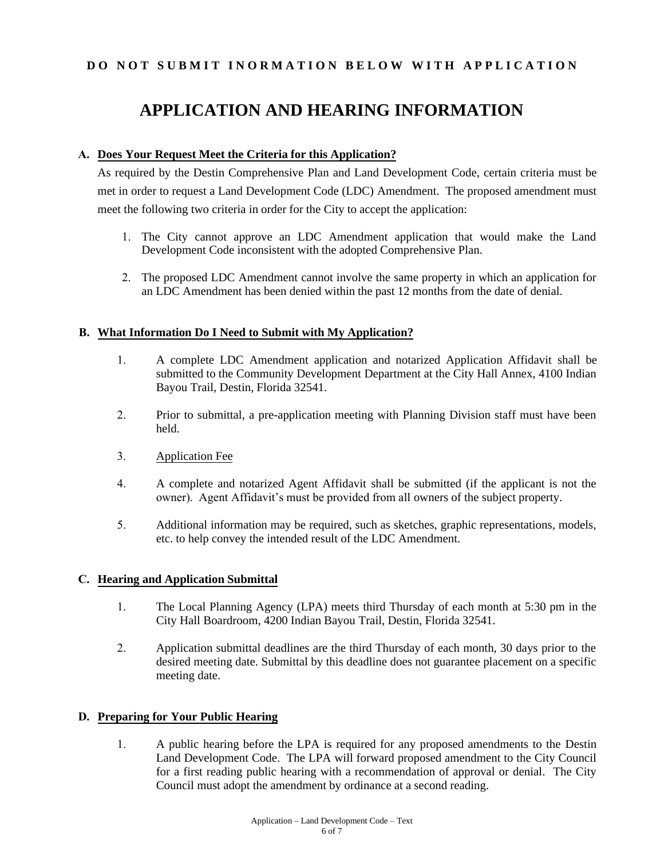## **DO NOT SUBMIT INORMATION BELOW WITH APPLICATION**

# **APPLICATION AND HEARING INFORMATION**

### **A. Does Your Request Meet the Criteria for this Application?**

As required by the Destin Comprehensive Plan and Land Development Code, certain criteria must be met in order to request a Land Development Code (LDC) Amendment. The proposed amendment must meet the following two criteria in order for the City to accept the application:

- 1. The City cannot approve an LDC Amendment application that would make the Land Development Code inconsistent with the adopted Comprehensive Plan.
- 2. The proposed LDC Amendment cannot involve the same property in which an application for an LDC Amendment has been denied within the past 12 months from the date of denial.

#### **B. What Information Do I Need to Submit with My Application?**

- 1. A complete LDC Amendment application and notarized Application Affidavit shall be submitted to the Community Development Department at the City Hall Annex, 4100 Indian Bayou Trail, Destin, Florida 32541.
- 2. Prior to submittal, a pre-application meeting with Planning Division staff must have been held.
- 3. Application Fee
- 4. A complete and notarized Agent Affidavit shall be submitted (if the applicant is not the owner). Agent Affidavit's must be provided from all owners of the subject property.
- 5. Additional information may be required, such as sketches, graphic representations, models, etc. to help convey the intended result of the LDC Amendment.

### **C. Hearing and Application Submittal**

- 1. The Local Planning Agency (LPA) meets third Thursday of each month at 5:30 pm in the City Hall Boardroom, 4200 Indian Bayou Trail, Destin, Florida 32541.
- 2. Application submittal deadlines are the third Thursday of each month, 30 days prior to the desired meeting date. Submittal by this deadline does not guarantee placement on a specific meeting date.

### **D. Preparing for Your Public Hearing**

1. A public hearing before the LPA is required for any proposed amendments to the Destin Land Development Code. The LPA will forward proposed amendment to the City Council for a first reading public hearing with a recommendation of approval or denial. The City Council must adopt the amendment by ordinance at a second reading.